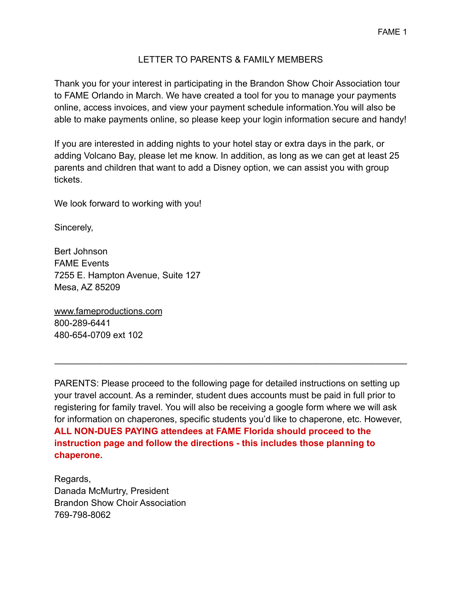## LETTER TO PARENTS & FAMILY MEMBERS

Thank you for your interest in participating in the Brandon Show Choir Association tour to FAME Orlando in March. We have created a tool for you to manage your payments online, access invoices, and view your payment schedule information.You will also be able to make payments online, so please keep your login information secure and handy!

If you are interested in adding nights to your hotel stay or extra days in the park, or adding Volcano Bay, please let me know. In addition, as long as we can get at least 25 parents and children that want to add a Disney option, we can assist you with group tickets.

We look forward to working with you!

Sincerely,

Bert Johnson FAME Events 7255 E. Hampton Avenue, Suite 127 Mesa, AZ 85209

[www.fameproductions.com](http://www.fameproductions.com/) 800-289-6441 480-654-0709 ext 102

PARENTS: Please proceed to the following page for detailed instructions on setting up your travel account. As a reminder, student dues accounts must be paid in full prior to registering for family travel. You will also be receiving a google form where we will ask for information on chaperones, specific students you'd like to chaperone, etc. However, **ALL NON-DUES PAYING attendees at FAME Florida should proceed to the instruction page and follow the directions - this includes those planning to chaperone.**

 $\mathcal{L}_\text{max} = \mathcal{L}_\text{max} = \mathcal{L}_\text{max} = \mathcal{L}_\text{max} = \mathcal{L}_\text{max} = \mathcal{L}_\text{max} = \mathcal{L}_\text{max} = \mathcal{L}_\text{max} = \mathcal{L}_\text{max} = \mathcal{L}_\text{max} = \mathcal{L}_\text{max} = \mathcal{L}_\text{max} = \mathcal{L}_\text{max} = \mathcal{L}_\text{max} = \mathcal{L}_\text{max} = \mathcal{L}_\text{max} = \mathcal{L}_\text{max} = \mathcal{L}_\text{max} = \mathcal{$ 

Regards, Danada McMurtry, President Brandon Show Choir Association 769-798-8062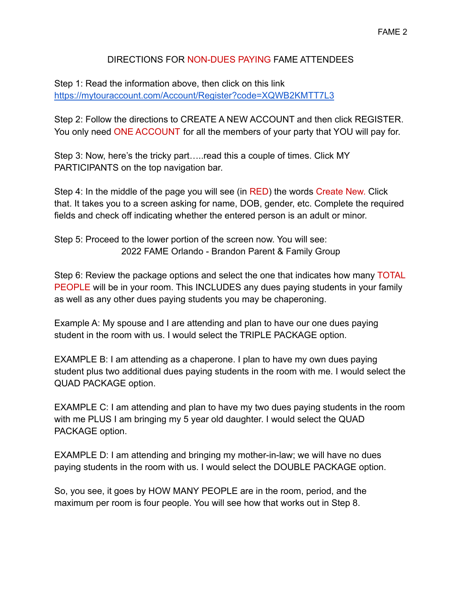## FAME 2

## DIRECTIONS FOR NON-DUES PAYING FAME ATTENDEES

Step 1: Read the information above, then click on this link <https://mytouraccount.com/Account/Register?code=XQWB2KMTT7L3>

Step 2: Follow the directions to CREATE A NEW ACCOUNT and then click REGISTER. You only need ONE ACCOUNT for all the members of your party that YOU will pay for.

Step 3: Now, here's the tricky part…..read this a couple of times. Click MY PARTICIPANTS on the top navigation bar.

Step 4: In the middle of the page you will see (in RED) the words Create New. Click that. It takes you to a screen asking for name, DOB, gender, etc. Complete the required fields and check off indicating whether the entered person is an adult or minor.

Step 5: Proceed to the lower portion of the screen now. You will see: 2022 FAME Orlando - Brandon Parent & Family Group

Step 6: Review the package options and select the one that indicates how many TOTAL PEOPLE will be in your room. This INCLUDES any dues paying students in your family as well as any other dues paying students you may be chaperoning.

Example A: My spouse and I are attending and plan to have our one dues paying student in the room with us. I would select the TRIPLE PACKAGE option.

EXAMPLE B: I am attending as a chaperone. I plan to have my own dues paying student plus two additional dues paying students in the room with me. I would select the QUAD PACKAGE option.

EXAMPLE C: I am attending and plan to have my two dues paying students in the room with me PLUS I am bringing my 5 year old daughter. I would select the QUAD PACKAGE option.

EXAMPLE D: I am attending and bringing my mother-in-law; we will have no dues paying students in the room with us. I would select the DOUBLE PACKAGE option.

So, you see, it goes by HOW MANY PEOPLE are in the room, period, and the maximum per room is four people. You will see how that works out in Step 8.